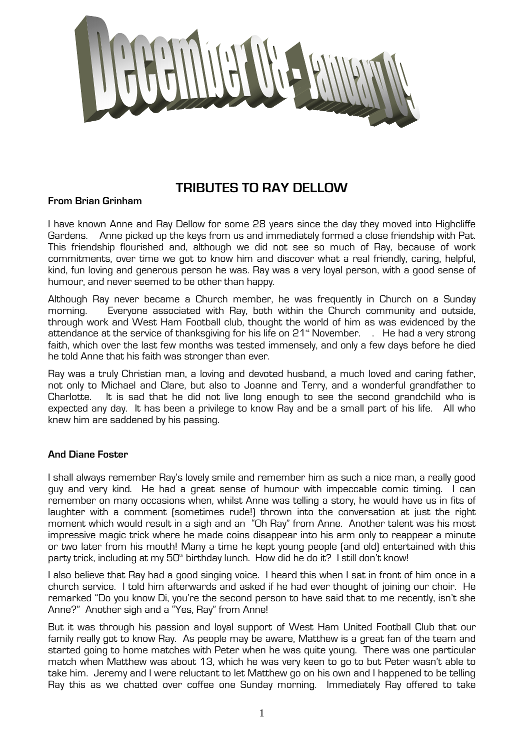

# **TRIBUTES TO RAY DELLOW**

### **From Brian Grinham**

I have known Anne and Ray Dellow for some 28 years since the day they moved into Highcliffe Gardens. Anne picked up the keys from us and immediately formed a close friendship with Pat. This friendship flourished and, although we did not see so much of Ray, because of work commitments, over time we got to know him and discover what a real friendly, caring, helpful, kind, fun loving and generous person he was. Ray was a very loyal person, with a good sense of humour, and never seemed to be other than happy.

Although Ray never became a Church member, he was frequently in Church on a Sunday morning. Everyone associated with Ray, both within the Church community and outside, through work and West Ham Football club, thought the world of him as was evidenced by the attendance at the service of thanksgiving for his life on 21<sup>\*</sup> November. . He had a very strong faith, which over the last few months was tested immensely, and only a few days before he died he told Anne that his faith was stronger than ever.

Ray was a truly Christian man, a loving and devoted husband, a much loved and caring father, not only to Michael and Clare, but also to Joanne and Terry, and a wonderful grandfather to Charlotte. It is sad that he did not live long enough to see the second grandchild who is expected any day. It has been a privilege to know Ray and be a small part of his life. All who knew him are saddened by his passing.

### **And Diane Foster**

I shall always remember Ray's lovely smile and remember him as such a nice man, a really good guy and very kind. He had a great sense of humour with impeccable comic timing. I can remember on many occasions when, whilst Anne was telling a story, he would have us in fits of laughter with a comment (sometimes rude!) thrown into the conversation at just the right moment which would result in a sigh and an "Oh Ray" from Anne. Another talent was his most impressive magic trick where he made coins disappear into his arm only to reappear a minute or two later from his mouth! Many a time he kept young people (and old) entertained with this party trick, including at my  $50<sup>th</sup>$  birthday lunch. How did he do it? I still don't know!

I also believe that Ray had a good singing voice. I heard this when I sat in front of him once in a church service. I told him afterwards and asked if he had ever thought of joining our choir. He remarked "Do you know Di, you're the second person to have said that to me recently, isn't she Anne?" Another sigh and a "Yes, Ray" from Anne!

But it was through his passion and loyal support of West Ham United Football Club that our family really got to know Ray. As people may be aware, Matthew is a great fan of the team and started going to home matches with Peter when he was quite young. There was one particular match when Matthew was about 13, which he was very keen to go to but Peter wasn't able to take him. Jeremy and I were reluctant to let Matthew go on his own and I happened to be telling Ray this as we chatted over coffee one Sunday morning. Immediately Ray offered to take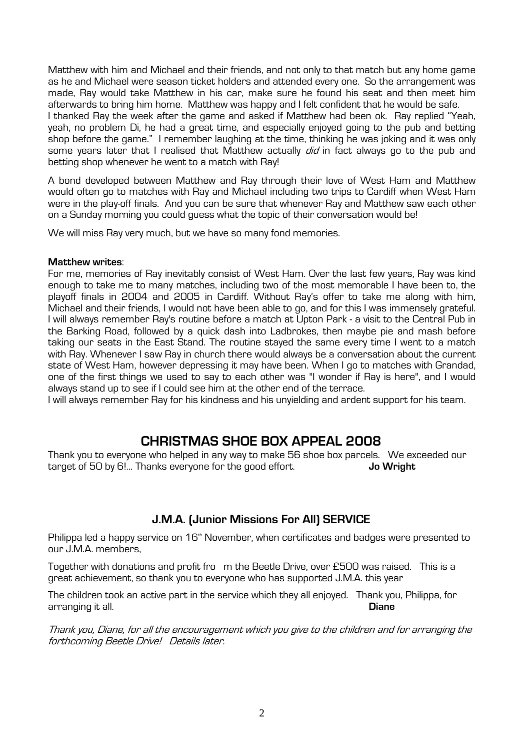Matthew with him and Michael and their friends, and not only to that match but any home game as he and Michael were season ticket holders and attended every one. So the arrangement was made, Ray would take Matthew in his car, make sure he found his seat and then meet him afterwards to bring him home. Matthew was happy and I felt confident that he would be safe.

I thanked Ray the week after the game and asked if Matthew had been ok. Ray replied "Yeah, yeah, no problem Di, he had a great time, and especially enjoyed going to the pub and betting shop before the game." I remember laughing at the time, thinking he was joking and it was only some years later that I realised that Matthew actually *did* in fact always go to the pub and betting shop whenever he went to a match with Ray!

A bond developed between Matthew and Ray through their love of West Ham and Matthew would often go to matches with Ray and Michael including two trips to Cardiff when West Ham were in the play-off finals. And you can be sure that whenever Ray and Matthew saw each other on a Sunday morning you could guess what the topic of their conversation would be!

We will miss Ray very much, but we have so many fond memories.

#### **Matthew writes**:

For me, memories of Ray inevitably consist of West Ham. Over the last few years, Ray was kind enough to take me to many matches, including two of the most memorable I have been to, the playoff finals in 2004 and 2005 in Cardiff. Without Ray's offer to take me along with him, Michael and their friends, I would not have been able to go, and for this I was immensely grateful. I will always remember Ray's routine before a match at Upton Park - a visit to the Central Pub in the Barking Road, followed by a quick dash into Ladbrokes, then maybe pie and mash before taking our seats in the East Stand. The routine stayed the same every time I went to a match with Ray. Whenever I saw Ray in church there would always be a conversation about the current state of West Ham, however depressing it may have been. When I go to matches with Grandad, one of the first things we used to say to each other was "I wonder if Ray is here", and I would always stand up to see if I could see him at the other end of the terrace.

I will always remember Ray for his kindness and his unyielding and ardent support for his team.

# **CHRISTMAS SHOE BOX APPEAL 2008**

Thank you to everyone who helped in any way to make 56 shoe box parcels. We exceeded our target of 50 by 6!... Thanks everyone for the good effort. **Jo Wright** 

### **J.M.A. (Junior Missions For All) SERVICE**

Philippa led a happy service on 16<sup>th</sup> November, when certificates and badges were presented to our J.M.A. members,

Together with donations and profit fro m the Beetle Drive, over £500 was raised. This is a great achievement, so thank you to everyone who has supported J.M.A. this year

The children took an active part in the service which they all enjoyed. Thank you, Philippa, for arranging it all. **Diane**

Thank you, Diane, for all the encouragement which you give to the children and for arranging the forthcoming Beetle Drive! Details later.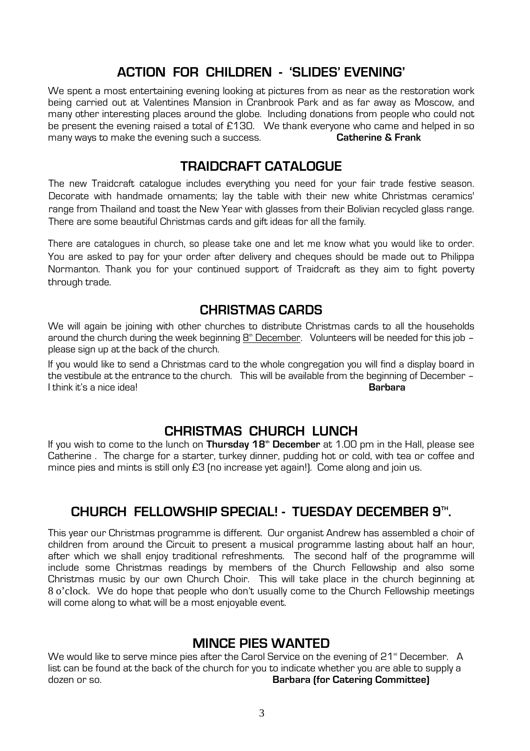# **ACTION FOR CHILDREN - 'SLIDES' EVENING'**

We spent a most entertaining evening looking at pictures from as near as the restoration work being carried out at Valentines Mansion in Cranbrook Park and as far away as Moscow, and many other interesting places around the globe. Including donations from people who could not be present the evening raised a total of £130. We thank everyone who came and helped in so many ways to make the evening such a success. **Catherine & Frank**

## **TRAIDCRAFT CATALOGUE**

The new Traidcraft catalogue includes everything you need for your fair trade festive season. Decorate with handmade ornaments; lay the table with their new white Christmas ceramics' range from Thailand and toast the New Year with glasses from their Bolivian recycled glass range. There are some beautiful Christmas cards and gift ideas for all the family.

There are catalogues in church, so please take one and let me know what you would like to order. You are asked to pay for your order after delivery and cheques should be made out to Philippa Normanton. Thank you for your continued support of Traidcraft as they aim to fight poverty through trade.

## **CHRISTMAS CARDS**

We will again be joining with other churches to distribute Christmas cards to all the households around the church during the week beginning  $8<sup>th</sup>$  December. Volunteers will be needed for this job – please sign up at the back of the church.

If you would like to send a Christmas card to the whole congregation you will find a display board in the vestibule at the entrance to the church. This will be available from the beginning of December –<br>I think it's a nice ideal I think it's a nice idea! **Barbara**

# **CHRISTMAS CHURCH LUNCH**

If you wish to come to the lunch on **Thursday 18th December** at 1.00 pm in the Hall, please see Catherine . The charge for a starter, turkey dinner, pudding hot or cold, with tea or coffee and mince pies and mints is still only £3 (no increase yet again!). Come along and join us.

# **CHURCH FELLOWSHIP SPECIAL! - TUESDAY DECEMBER 9TH .**

This year our Christmas programme is different. Our organist Andrew has assembled a choir of children from around the Circuit to present a musical programme lasting about half an hour, after which we shall enjoy traditional refreshments. The second half of the programme will include some Christmas readings by members of the Church Fellowship and also some Christmas music by our own Church Choir. This will take place in the church beginning at 8 o'clock. We do hope that people who don't usually come to the Church Fellowship meetings will come along to what will be a most enjoyable event.

# **MINCE PIES WANTED**

We would like to serve mince pies after the Carol Service on the evening of 21<sup>th</sup> December. A list can be found at the back of the church for you to indicate whether you are able to supply a dozen or so. **Barbara (for Catering Committee)**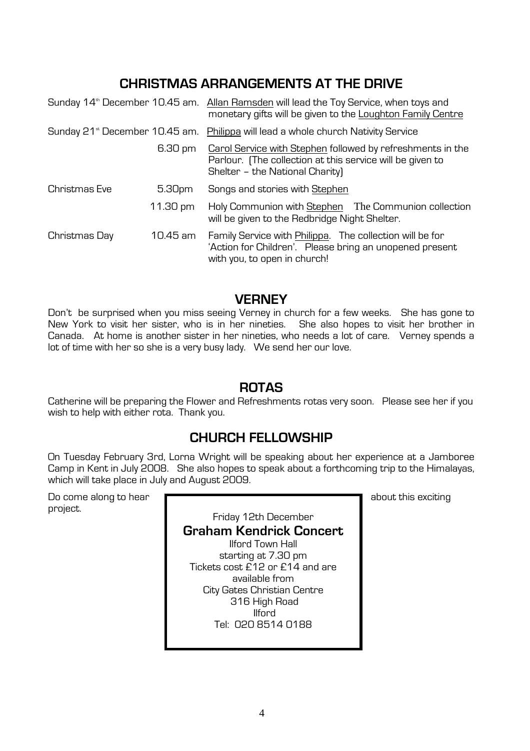# **CHRISTMAS ARRANGEMENTS AT THE DRIVE**

|                                            |          | Sunday 14 <sup>th</sup> December 10.45 am. Allan Ramsden will lead the Toy Service, when toys and<br>monetary gifts will be given to the Loughton Family Centre |
|--------------------------------------------|----------|-----------------------------------------------------------------------------------------------------------------------------------------------------------------|
| Sunday 21 <sup>st</sup> December 10.45 am. |          | Philippa will lead a whole church Nativity Service                                                                                                              |
|                                            | 6.30 pm  | Carol Service with Stephen followed by refreshments in the<br>Parlour. (The collection at this service will be given to<br>Shelter - the National Charity)      |
| Christmas Eve                              | 5.30pm   | Songs and stories with Stephen                                                                                                                                  |
|                                            | 11.30 pm | Holy Communion with Stephen The Communion collection<br>will be given to the Redbridge Night Shelter.                                                           |
| Christmas Day                              | 10.45 am | Family Service with Philippa. The collection will be for<br>'Action for Children'. Please bring an unopened present<br>with you, to open in church!             |

# **VERNEY**

Don't be surprised when you miss seeing Verney in church for a few weeks. She has gone to New York to visit her sister, who is in her nineties. She also hopes to visit her brother in Canada. At home is another sister in her nineties, who needs a lot of care. Verney spends a lot of time with her so she is a very busy lady. We send her our love.

## **ROTAS**

Catherine will be preparing the Flower and Refreshments rotas very soon. Please see her if you wish to help with either rota. Thank you.

# **CHURCH FELLOWSHIP**

On Tuesday February 3rd, Lorna Wright will be speaking about her experience at a Jamboree Camp in Kent in July 2008. She also hopes to speak about a forthcoming trip to the Himalayas, which will take place in July and August 2009.

Do come along to hear **about this exciting** about this exciting project.

Friday 12th December **Graham Kendrick Concert**  Ilford Town Hall starting at 7.30 pm Tickets cost £12 or £14 and are available from City Gates Christian Centre 316 High Road Ilford Tel: 020 8514 0188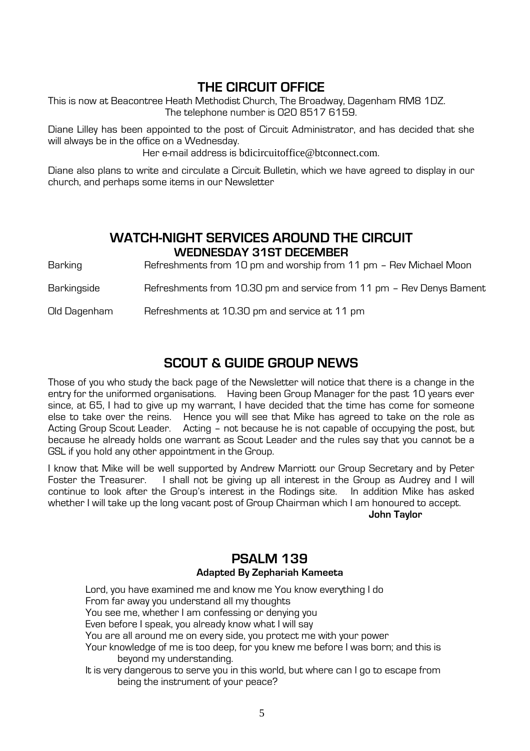# **THE CIRCUIT OFFICE**

This is now at Beacontree Heath Methodist Church, The Broadway, Dagenham RM8 1DZ. The telephone number is 020 8517 6159.

Diane Lilley has been appointed to the post of Circuit Administrator, and has decided that she will always be in the office on a Wednesday.

Her e-mail address is bdicircuitoffice@btconnect.com.

Diane also plans to write and circulate a Circuit Bulletin, which we have agreed to display in our church, and perhaps some items in our Newsletter

# **WATCH-NIGHT SERVICES AROUND THE CIRCUIT WEDNESDAY 31ST DECEMBER**

Barking Refreshments from 10 pm and worship from 11 pm - Rev Michael Moon

Barkingside **Refreshments from 10.30 pm and service from 11 pm - Rev Denys Bament** 

Old Dagenham Refreshments at 10.30 pm and service at 11 pm

# **SCOUT & GUIDE GROUP NEWS**

Those of you who study the back page of the Newsletter will notice that there is a change in the entry for the uniformed organisations. Having been Group Manager for the past 10 years ever since, at 65, I had to give up my warrant, I have decided that the time has come for someone else to take over the reins. Hence you will see that Mike has agreed to take on the role as Acting Group Scout Leader. Acting – not because he is not capable of occupying the post, but because he already holds one warrant as Scout Leader and the rules say that you cannot be a GSL if you hold any other appointment in the Group.

I know that Mike will be well supported by Andrew Marriott our Group Secretary and by Peter Foster the Treasurer. I shall not be giving up all interest in the Group as Audrey and I will continue to look after the Group's interest in the Rodings site. In addition Mike has asked whether I will take up the long vacant post of Group Chairman which I am honoured to accept.

**John Taylor** 

### **PSALM 139 Adapted By Zephariah Kameeta**

Lord, you have examined me and know me You know everything I do From far away you understand all my thoughts You see me, whether I am confessing or denying you Even before I speak, you already know what I will say You are all around me on every side, you protect me with your power Your knowledge of me is too deep, for you knew me before I was born; and this is beyond my understanding. It is very dangerous to serve you in this world, but where can I go to escape from being the instrument of your peace?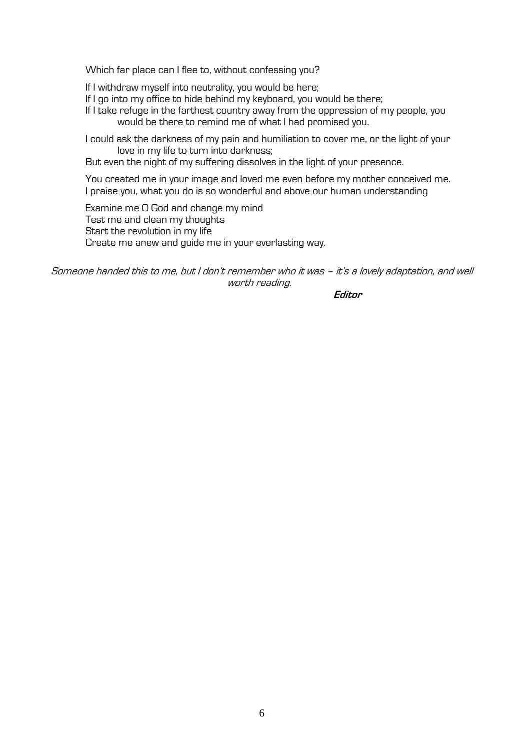Which far place can I flee to, without confessing you?

If I withdraw myself into neutrality, you would be here;

If I go into my office to hide behind my keyboard, you would be there;

If I take refuge in the farthest country away from the oppression of my people, you would be there to remind me of what I had promised you.

I could ask the darkness of my pain and humiliation to cover me, or the light of your love in my life to turn into darkness;

But even the night of my suffering dissolves in the light of your presence.

You created me in your image and loved me even before my mother conceived me. I praise you, what you do is so wonderful and above our human understanding

Examine me O God and change my mind Test me and clean my thoughts Start the revolution in my life Create me anew and guide me in your everlasting way.

Someone handed this to me, but I don't remember who it was – it's a lovely adaptation, and well worth reading.

**Editor**